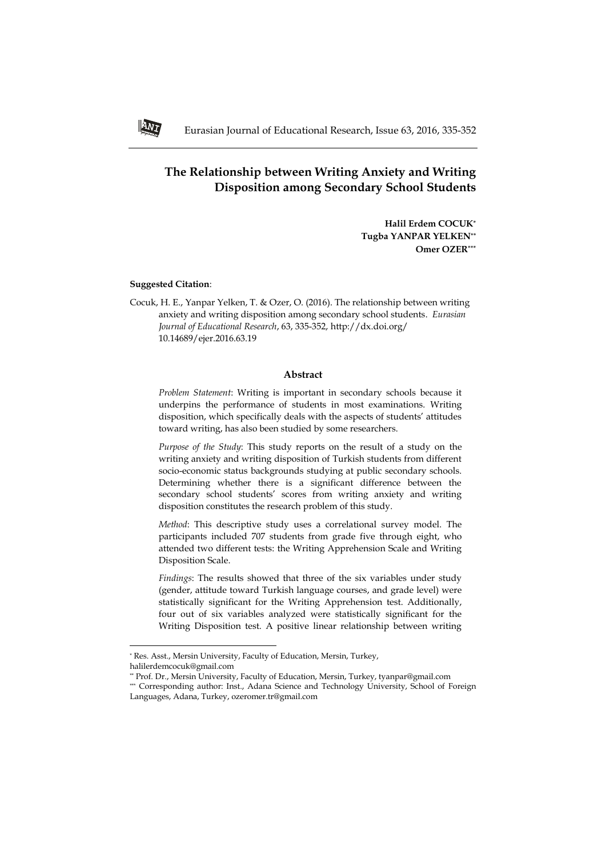# **The Relationship between Writing Anxiety and Writing Disposition among Secondary School Students**

**Halil Erdem COCUK\* Tugba YANPAR YELKEN\*\* Omer OZER\*\*\***

## **Suggested Citation**:

1

Cocuk, H. E., Yanpar Yelken, T. & Ozer, O. (2016). The relationship between writing anxiety and writing disposition among secondary school students. *Eurasian Journal of Educational Research*, 63, 335-352, http://dx.doi.org/ 10.14689/ejer.2016.63.19

## **Abstract**

*Problem Statement*: Writing is important in secondary schools because it underpins the performance of students in most examinations. Writing disposition, which specifically deals with the aspects of students' attitudes toward writing, has also been studied by some researchers.

*Purpose of the Study*: This study reports on the result of a study on the writing anxiety and writing disposition of Turkish students from different socio-economic status backgrounds studying at public secondary schools. Determining whether there is a significant difference between the secondary school students' scores from writing anxiety and writing disposition constitutes the research problem of this study.

*Method*: This descriptive study uses a correlational survey model. The participants included 707 students from grade five through eight, who attended two different tests: the Writing Apprehension Scale and Writing Disposition Scale.

*Findings*: The results showed that three of the six variables under study (gender, attitude toward Turkish language courses, and grade level) were statistically significant for the Writing Apprehension test. Additionally, four out of six variables analyzed were statistically significant for the Writing Disposition test. A positive linear relationship between writing



<sup>\*</sup> Res. Asst., Mersin University, Faculty of Education, Mersin, Turkey, halilerdemcocuk@gmail.com

<sup>\*\*</sup> Prof. Dr., Mersin University, Faculty of Education, Mersin, Turkey, tyanpar@gmail.com

<sup>\*\*\*</sup> Corresponding author: Inst., Adana Science and Technology University, School of Foreign Languages, Adana, Turkey, ozeromer.tr@gmail.com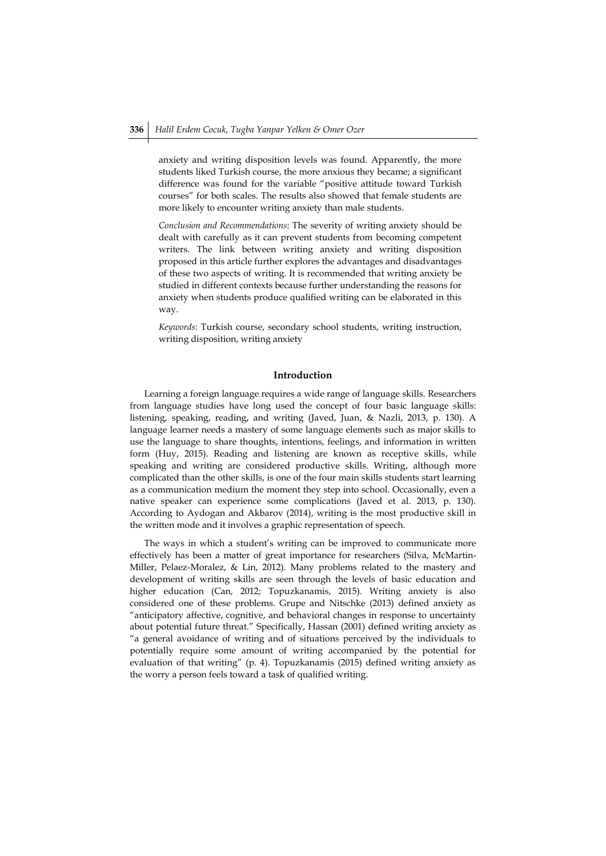anxiety and writing disposition levels was found. Apparently, the more students liked Turkish course, the more anxious they became; a significant difference was found for the variable "positive attitude toward Turkish courses" for both scales. The results also showed that female students are more likely to encounter writing anxiety than male students.

*Conclusion and Recommendations*: The severity of writing anxiety should be dealt with carefully as it can prevent students from becoming competent writers. The link between writing anxiety and writing disposition proposed in this article further explores the advantages and disadvantages of these two aspects of writing. It is recommended that writing anxiety be studied in different contexts because further understanding the reasons for anxiety when students produce qualified writing can be elaborated in this way.

*Keywords*: Turkish course, secondary school students, writing instruction, writing disposition, writing anxiety

## **Introduction**

Learning a foreign language requires a wide range of language skills. Researchers from language studies have long used the concept of four basic language skills: listening, speaking, reading, and writing (Javed, Juan, & Nazli, 2013, p. 130). A language learner needs a mastery of some language elements such as major skills to use the language to share thoughts, intentions, feelings, and information in written form (Huy, 2015). Reading and listening are known as receptive skills, while speaking and writing are considered productive skills. Writing, although more complicated than the other skills, is one of the four main skills students start learning as a communication medium the moment they step into school. Occasionally, even a native speaker can experience some complications (Javed et al. 2013, p. 130). According to Aydogan and Akbarov (2014), writing is the most productive skill in the written mode and it involves a graphic representation of speech.

The ways in which a student's writing can be improved to communicate more effectively has been a matter of great importance for researchers (Silva, McMartin-Miller, Pelaez-Moralez, & Lin, 2012). Many problems related to the mastery and development of writing skills are seen through the levels of basic education and higher education (Can, 2012; Topuzkanamis, 2015). Writing anxiety is also considered one of these problems. Grupe and Nitschke (2013) defined anxiety as "anticipatory affective, cognitive, and behavioral changes in response to uncertainty about potential future threat." Specifically, Hassan (2001) defined writing anxiety as "a general avoidance of writing and of situations perceived by the individuals to potentially require some amount of writing accompanied by the potential for evaluation of that writing" (p. 4). Topuzkanamis (2015) defined writing anxiety as the worry a person feels toward a task of qualified writing.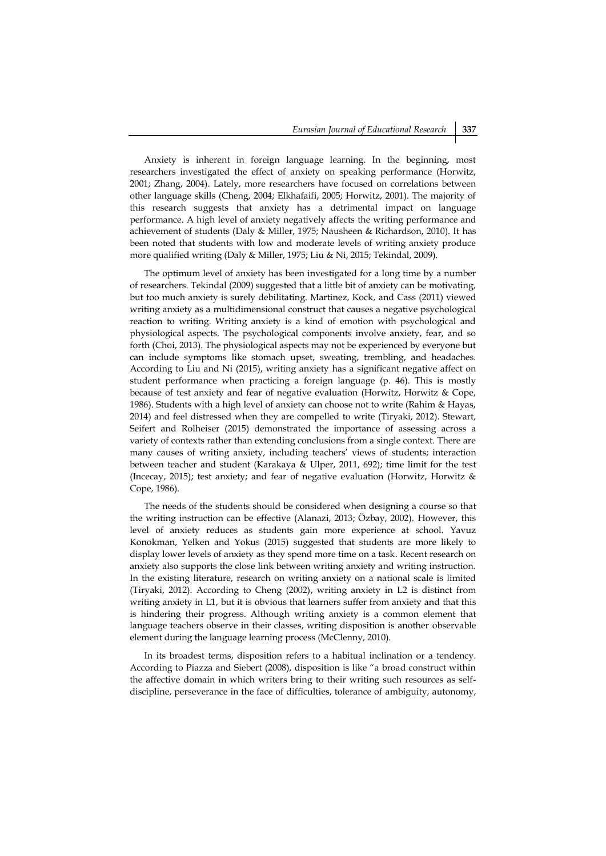Anxiety is inherent in foreign language learning. In the beginning, most researchers investigated the effect of anxiety on speaking performance (Horwitz, 2001; Zhang, 2004). Lately, more researchers have focused on correlations between other language skills (Cheng, 2004; Elkhafaifi, 2005; Horwitz, 2001). The majority of this research suggests that anxiety has a detrimental impact on language performance. A high level of anxiety negatively affects the writing performance and achievement of students (Daly & Miller, 1975; Nausheen & Richardson, 2010). It has been noted that students with low and moderate levels of writing anxiety produce more qualified writing (Daly & Miller, 1975; Liu & Ni, 2015; Tekindal, 2009).

The optimum level of anxiety has been investigated for a long time by a number of researchers. Tekindal (2009) suggested that a little bit of anxiety can be motivating, but too much anxiety is surely debilitating. Martinez, Kock, and Cass (2011) viewed writing anxiety as a multidimensional construct that causes a negative psychological reaction to writing. Writing anxiety is a kind of emotion with psychological and physiological aspects. The psychological components involve anxiety, fear, and so forth (Choi, 2013). The physiological aspects may not be experienced by everyone but can include symptoms like stomach upset, sweating, trembling, and headaches. According to Liu and Ni (2015), writing anxiety has a significant negative affect on student performance when practicing a foreign language (p. 46). This is mostly because of test anxiety and fear of negative evaluation (Horwitz, Horwitz & Cope, 1986). Students with a high level of anxiety can choose not to write (Rahim & Hayas, 2014) and feel distressed when they are compelled to write (Tiryaki, 2012). Stewart, Seifert and Rolheiser (2015) demonstrated the importance of assessing across a variety of contexts rather than extending conclusions from a single context. There are many causes of writing anxiety, including teachers' views of students; interaction between teacher and student (Karakaya & Ulper, 2011, 692); time limit for the test (Incecay, 2015); test anxiety; and fear of negative evaluation (Horwitz, Horwitz & Cope, 1986).

The needs of the students should be considered when designing a course so that the writing instruction can be effective (Alanazi, 2013; Özbay, 2002). However, this level of anxiety reduces as students gain more experience at school. Yavuz Konokman, Yelken and Yokus (2015) suggested that students are more likely to display lower levels of anxiety as they spend more time on a task. Recent research on anxiety also supports the close link between writing anxiety and writing instruction. In the existing literature, research on writing anxiety on a national scale is limited (Tiryaki, 2012). According to Cheng (2002), writing anxiety in L2 is distinct from writing anxiety in L1, but it is obvious that learners suffer from anxiety and that this is hindering their progress. Although writing anxiety is a common element that language teachers observe in their classes, writing disposition is another observable element during the language learning process (McClenny, 2010).

In its broadest terms, disposition refers to a habitual inclination or a tendency. According to Piazza and Siebert (2008), disposition is like "a broad construct within the affective domain in which writers bring to their writing such resources as selfdiscipline, perseverance in the face of difficulties, tolerance of ambiguity, autonomy,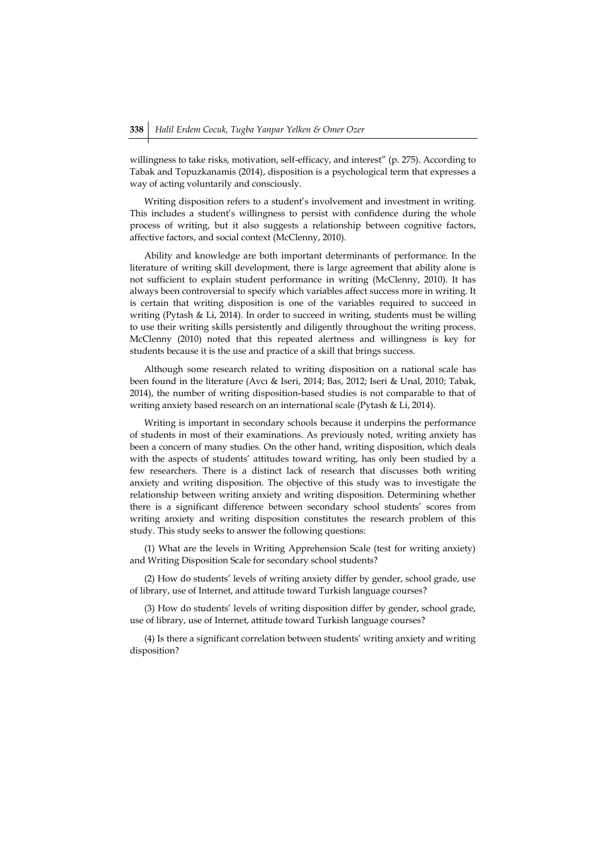willingness to take risks, motivation, self-efficacy, and interest" (p. 275). According to Tabak and Topuzkanamis (2014), disposition is a psychological term that expresses a way of acting voluntarily and consciously.

Writing disposition refers to a student's involvement and investment in writing. This includes a student's willingness to persist with confidence during the whole process of writing, but it also suggests a relationship between cognitive factors, affective factors, and social context (McClenny, 2010).

Ability and knowledge are both important determinants of performance. In the literature of writing skill development, there is large agreement that ability alone is not sufficient to explain student performance in writing (McClenny, 2010). It has always been controversial to specify which variables affect success more in writing. It is certain that writing disposition is one of the variables required to succeed in writing (Pytash & Li, 2014). In order to succeed in writing, students must be willing to use their writing skills persistently and diligently throughout the writing process. McClenny (2010) noted that this repeated alertness and willingness is key for students because it is the use and practice of a skill that brings success.

Although some research related to writing disposition on a national scale has been found in the literature (Avcı & Iseri, 2014; Bas, 2012; Iseri & Unal, 2010; Tabak, 2014), the number of writing disposition-based studies is not comparable to that of writing anxiety based research on an international scale (Pytash & Li, 2014).

Writing is important in secondary schools because it underpins the performance of students in most of their examinations. As previously noted, writing anxiety has been a concern of many studies. On the other hand, writing disposition, which deals with the aspects of students' attitudes toward writing, has only been studied by a few researchers. There is a distinct lack of research that discusses both writing anxiety and writing disposition. The objective of this study was to investigate the relationship between writing anxiety and writing disposition. Determining whether there is a significant difference between secondary school students' scores from writing anxiety and writing disposition constitutes the research problem of this study. This study seeks to answer the following questions:

(1) What are the levels in Writing Apprehension Scale (test for writing anxiety) and Writing Disposition Scale for secondary school students?

(2) How do students' levels of writing anxiety differ by gender, school grade, use of library, use of Internet, and attitude toward Turkish language courses?

(3) How do students' levels of writing disposition differ by gender, school grade, use of library, use of Internet, attitude toward Turkish language courses?

(4) Is there a significant correlation between students' writing anxiety and writing disposition?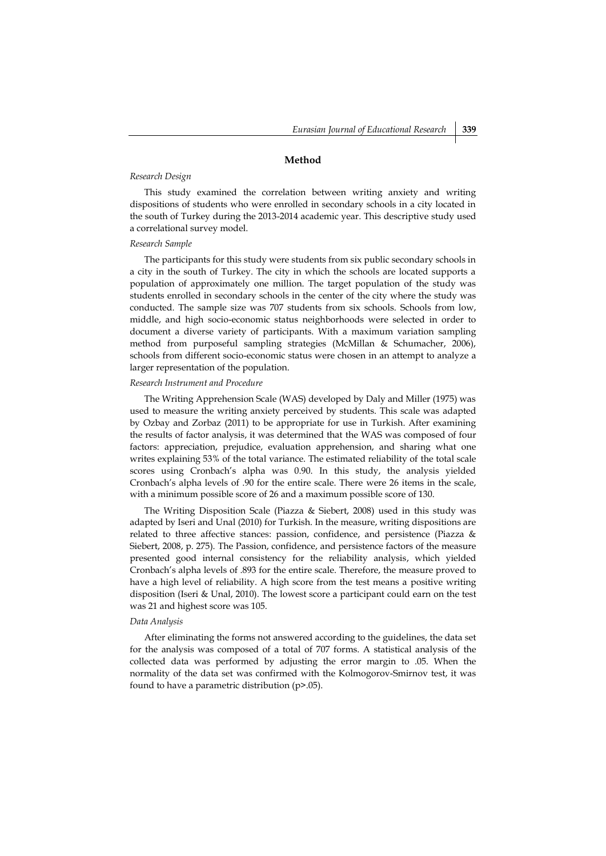# *Research Design*

This study examined the correlation between writing anxiety and writing dispositions of students who were enrolled in secondary schools in a city located in the south of Turkey during the 2013-2014 academic year. This descriptive study used a correlational survey model.

**Method**

### *Research Sample*

The participants for this study were students from six public secondary schools in a city in the south of Turkey. The city in which the schools are located supports a population of approximately one million. The target population of the study was students enrolled in secondary schools in the center of the city where the study was conducted. The sample size was 707 students from six schools. Schools from low, middle, and high socio-economic status neighborhoods were selected in order to document a diverse variety of participants. With a maximum variation sampling method from purposeful sampling strategies (McMillan & Schumacher, 2006), schools from different socio-economic status were chosen in an attempt to analyze a larger representation of the population.

#### *Research Instrument and Procedure*

The Writing Apprehension Scale (WAS) developed by Daly and Miller (1975) was used to measure the writing anxiety perceived by students. This scale was adapted by Ozbay and Zorbaz (2011) to be appropriate for use in Turkish. After examining the results of factor analysis, it was determined that the WAS was composed of four factors: appreciation, prejudice, evaluation apprehension, and sharing what one writes explaining 53% of the total variance. The estimated reliability of the total scale scores using Cronbach's alpha was 0.90. In this study, the analysis yielded Cronbach's alpha levels of .90 for the entire scale. There were 26 items in the scale, with a minimum possible score of 26 and a maximum possible score of 130.

The Writing Disposition Scale (Piazza & Siebert, 2008) used in this study was adapted by Iseri and Unal (2010) for Turkish. In the measure, writing dispositions are related to three affective stances: passion, confidence, and persistence (Piazza & Siebert, 2008, p. 275). The Passion, confidence, and persistence factors of the measure presented good internal consistency for the reliability analysis, which yielded Cronbach's alpha levels of .893 for the entire scale. Therefore, the measure proved to have a high level of reliability. A high score from the test means a positive writing disposition (Iseri & Unal, 2010). The lowest score a participant could earn on the test was 21 and highest score was 105.

## *Data Analysis*

After eliminating the forms not answered according to the guidelines, the data set for the analysis was composed of a total of 707 forms. A statistical analysis of the collected data was performed by adjusting the error margin to .05. When the normality of the data set was confirmed with the Kolmogorov-Smirnov test, it was found to have a parametric distribution (p>.05).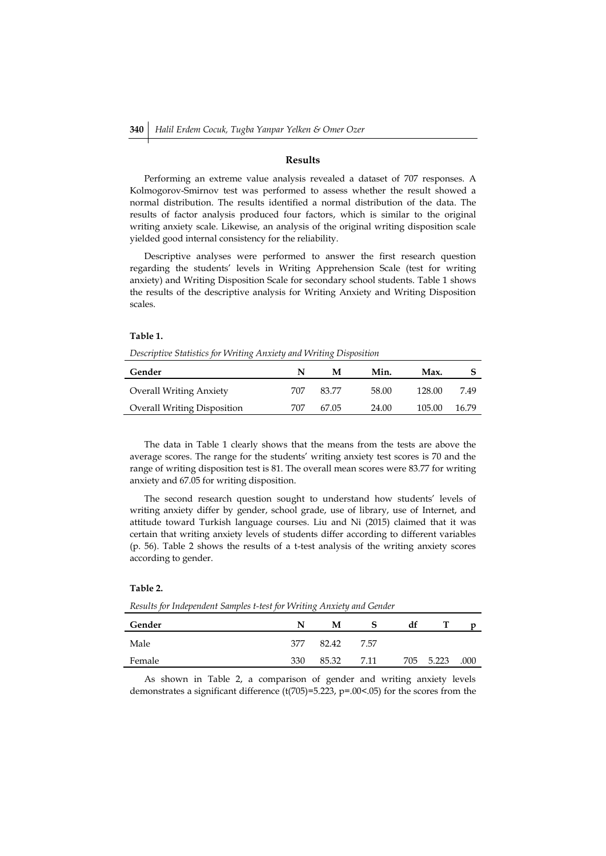## **Results**

Performing an extreme value analysis revealed a dataset of 707 responses. A Kolmogorov-Smirnov test was performed to assess whether the result showed a normal distribution. The results identified a normal distribution of the data. The results of factor analysis produced four factors, which is similar to the original writing anxiety scale. Likewise, an analysis of the original writing disposition scale yielded good internal consistency for the reliability.

Descriptive analyses were performed to answer the first research question regarding the students' levels in Writing Apprehension Scale (test for writing anxiety) and Writing Disposition Scale for secondary school students. Table 1 shows the results of the descriptive analysis for Writing Anxiety and Writing Disposition scales.

#### **Table 1.**

*Descriptive Statistics for Writing Anxiety and Writing Disposition*

| Gender                             | N   | м     | Min.  | Max.   |       |
|------------------------------------|-----|-------|-------|--------|-------|
| <b>Overall Writing Anxiety</b>     | 707 | 83.77 | 58.00 | 128.00 | 7.49  |
| <b>Overall Writing Disposition</b> | 707 | 67.05 | 24.00 | 105.00 | 16.79 |

The data in Table 1 clearly shows that the means from the tests are above the average scores. The range for the students' writing anxiety test scores is 70 and the range of writing disposition test is 81. The overall mean scores were 83.77 for writing anxiety and 67.05 for writing disposition.

The second research question sought to understand how students' levels of writing anxiety differ by gender, school grade, use of library, use of Internet, and attitude toward Turkish language courses. Liu and Ni (2015) claimed that it was certain that writing anxiety levels of students differ according to different variables (p. 56). Table 2 shows the results of a t-test analysis of the writing anxiety scores according to gender.

### **Table 2.**

*Results for Independent Samples t-test for Writing Anxiety and Gender*

| Gender | N   | м     |      | df  |       |      |
|--------|-----|-------|------|-----|-------|------|
| Male   | 377 | 82.42 | 7.57 |     |       |      |
| Female | 330 | 85.32 | 7.11 | 705 | 5.223 | .000 |

As shown in Table 2, a comparison of gender and writing anxiety levels demonstrates a significant difference (t(705)=5.223, p=.00<.05) for the scores from the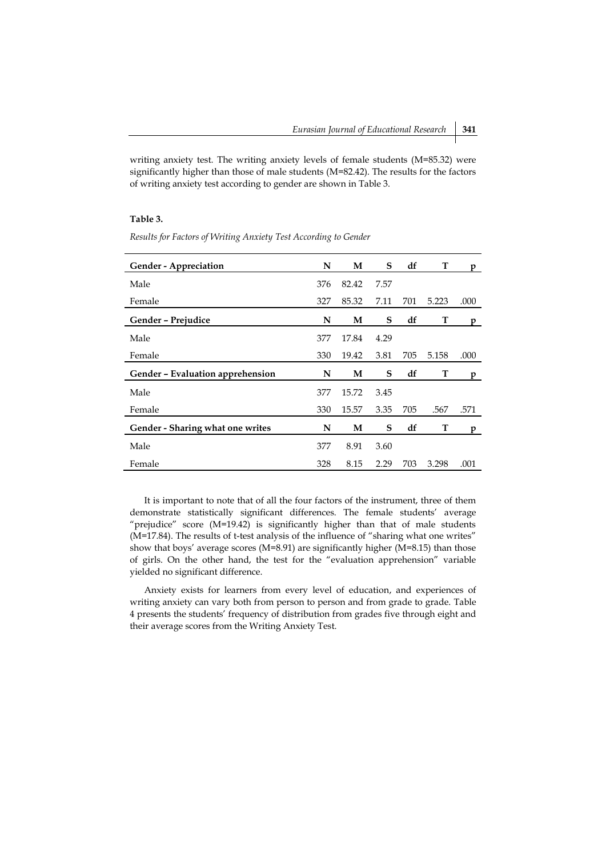writing anxiety test. The writing anxiety levels of female students (M=85.32) were significantly higher than those of male students (M=82.42). The results for the factors of writing anxiety test according to gender are shown in Table 3.

## **Table 3.**

| <b>Gender - Appreciation</b>            | N   | M     | S    | df  | T     | p    |
|-----------------------------------------|-----|-------|------|-----|-------|------|
| Male                                    | 376 | 82.42 | 7.57 |     |       |      |
| Female                                  | 327 | 85.32 | 7.11 | 701 | 5.223 | .000 |
| Gender - Prejudice                      | N   | M     | S    | df  | T     | D    |
| Male                                    | 377 | 17.84 | 4.29 |     |       |      |
| Female                                  | 330 | 19.42 | 3.81 | 705 | 5.158 | .000 |
| Gender - Evaluation apprehension        | N   | M     | S    | df  | т     | p    |
| Male                                    | 377 | 15.72 | 3.45 |     |       |      |
| Female                                  | 330 | 15.57 | 3.35 | 705 | .567  | .571 |
| <b>Gender - Sharing what one writes</b> | N   | М     | S    | df  | T     | p    |
| Male                                    | 377 | 8.91  | 3.60 |     |       |      |
| Female                                  | 328 | 8.15  | 2.29 | 703 | 3.298 | .001 |

*Results for Factors of Writing Anxiety Test According to Gender*

It is important to note that of all the four factors of the instrument, three of them demonstrate statistically significant differences. The female students' average "prejudice" score (M=19.42) is significantly higher than that of male students (M=17.84). The results of t-test analysis of the influence of "sharing what one writes" show that boys' average scores (M=8.91) are significantly higher (M=8.15) than those of girls. On the other hand, the test for the "evaluation apprehension" variable yielded no significant difference.

Anxiety exists for learners from every level of education, and experiences of writing anxiety can vary both from person to person and from grade to grade. Table 4 presents the students' frequency of distribution from grades five through eight and their average scores from the Writing Anxiety Test.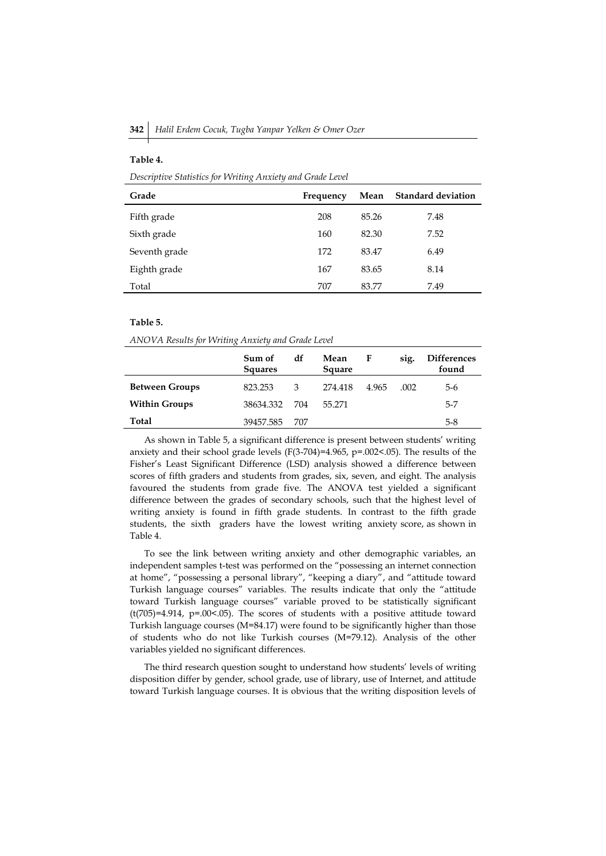| Descriptive Statistics for Writing Anxiety and Grade Level |           |       |                           |  |  |  |  |  |
|------------------------------------------------------------|-----------|-------|---------------------------|--|--|--|--|--|
| Grade                                                      | Frequency | Mean  | <b>Standard deviation</b> |  |  |  |  |  |
| Fifth grade                                                | 208       | 85.26 | 7.48                      |  |  |  |  |  |
| Sixth grade                                                | 160       | 82.30 | 7.52                      |  |  |  |  |  |
| Seventh grade                                              | 172       | 83.47 | 6.49                      |  |  |  |  |  |
| Eighth grade                                               | 167       | 83.65 | 8.14                      |  |  |  |  |  |
| Total                                                      | 707       | 83.77 | 7.49                      |  |  |  |  |  |

### **Table 5.**

**Table 4.**

*ANOVA Results for Writing Anxiety and Grade Level*

|                       | Sum of<br><b>Squares</b> | df  | Mean<br>Square | F     | sig. | <b>Differences</b><br>found |
|-----------------------|--------------------------|-----|----------------|-------|------|-----------------------------|
| <b>Between Groups</b> | 823.253                  | 3   | 274.418        | 4.965 | .002 | 5-6                         |
| <b>Within Groups</b>  | 38634.332                | 704 | 55.271         |       |      | $5 - 7$                     |
| Total                 | 39457.585                | 707 |                |       |      | 5-8                         |

As shown in Table 5, a significant difference is present between students' writing anxiety and their school grade levels (F(3-704)=4.965, p=.002<.05). The results of the Fisher's Least Significant Difference (LSD) analysis showed a difference between scores of fifth graders and students from grades, six, seven, and eight. The analysis favoured the students from grade five. The ANOVA test yielded a significant difference between the grades of secondary schools, such that the highest level of writing anxiety is found in fifth grade students. In contrast to the fifth grade students, the sixth graders have the lowest writing anxiety score, as shown in Table 4.

To see the link between writing anxiety and other demographic variables, an independent samples t-test was performed on the "possessing an internet connection at home", "possessing a personal library", "keeping a diary", and "attitude toward Turkish language courses" variables. The results indicate that only the "attitude toward Turkish language courses" variable proved to be statistically significant  $(t(705)=4.914, p=.00<.05)$ . The scores of students with a positive attitude toward Turkish language courses (M=84.17) were found to be significantly higher than those of students who do not like Turkish courses (M=79.12). Analysis of the other variables yielded no significant differences.

The third research question sought to understand how students' levels of writing disposition differ by gender, school grade, use of library, use of Internet, and attitude toward Turkish language courses. It is obvious that the writing disposition levels of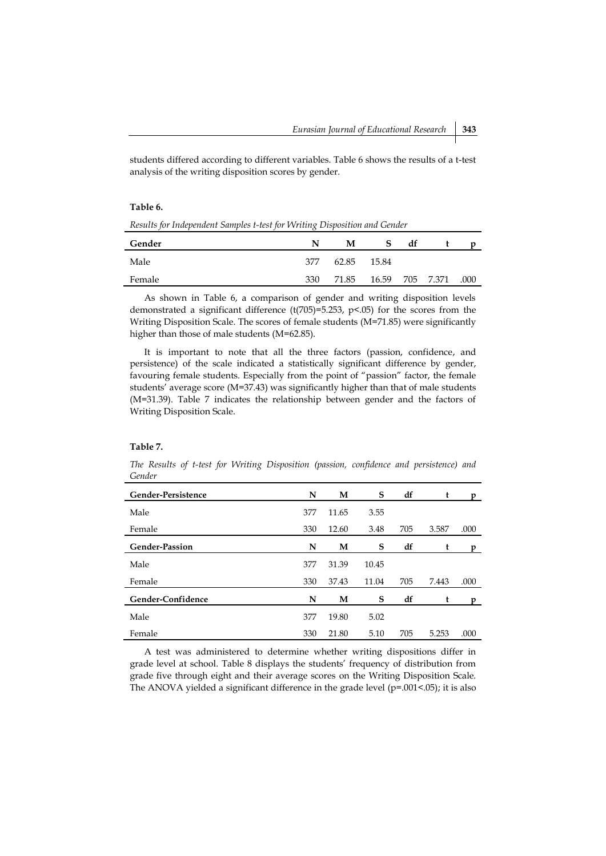students differed according to different variables. Table 6 shows the results of a t-test analysis of the writing disposition scores by gender.

#### **Table 6.**

| Results for Independent Samples t-test for Writing Disposition and Gender |
|---------------------------------------------------------------------------|
|---------------------------------------------------------------------------|

| Gender |     | М     | S.    | df |           |      |
|--------|-----|-------|-------|----|-----------|------|
| Male   | 377 | 62.85 | 15.84 |    |           |      |
| Female | 330 | 71.85 | 16.59 |    | 705 7.371 | .000 |

As shown in Table 6, a comparison of gender and writing disposition levels demonstrated a significant difference (t(705)=5.253, p<.05) for the scores from the Writing Disposition Scale. The scores of female students (M=71.85) were significantly higher than those of male students (M=62.85).

It is important to note that all the three factors (passion, confidence, and persistence) of the scale indicated a statistically significant difference by gender, favouring female students. Especially from the point of "passion" factor, the female students' average score (M=37.43) was significantly higher than that of male students (M=31.39). Table 7 indicates the relationship between gender and the factors of Writing Disposition Scale.

#### **Table 7.**

*The Results of t-test for Writing Disposition (passion, confidence and persistence) and Gender*

| Gender-Persistence    | N   | M     | S     | df  | t     | n    |
|-----------------------|-----|-------|-------|-----|-------|------|
| Male                  | 377 | 11.65 | 3.55  |     |       |      |
| Female                | 330 | 12.60 | 3.48  | 705 | 3.587 | .000 |
| <b>Gender-Passion</b> | N   | M     | S     | df  | t     | D    |
| Male                  | 377 | 31.39 | 10.45 |     |       |      |
| Female                | 330 | 37.43 | 11.04 | 705 | 7.443 | .000 |
| Gender-Confidence     | N   | M     | S     | df  | t     | n    |
| Male                  | 377 | 19.80 | 5.02  |     |       |      |
| Female                | 330 | 21.80 | 5.10  | 705 | 5.253 | .000 |

A test was administered to determine whether writing dispositions differ in grade level at school. Table 8 displays the students' frequency of distribution from grade five through eight and their average scores on the Writing Disposition Scale. The ANOVA yielded a significant difference in the grade level (p=.001<.05); it is also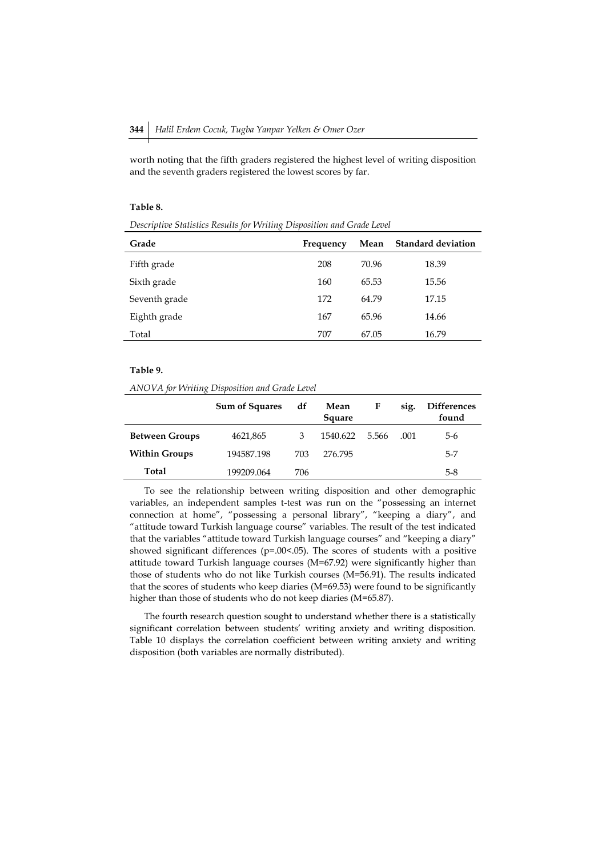worth noting that the fifth graders registered the highest level of writing disposition and the seventh graders registered the lowest scores by far.

### **Table 8.**

*Descriptive Statistics Results for Writing Disposition and Grade Level*

| Grade         | Frequency | Mean  | <b>Standard deviation</b> |
|---------------|-----------|-------|---------------------------|
| Fifth grade   | 208       | 70.96 | 18.39                     |
| Sixth grade   | 160       | 65.53 | 15.56                     |
| Seventh grade | 172       | 64.79 | 17.15                     |
| Eighth grade  | 167       | 65.96 | 14.66                     |
| Total         | 707       | 67.05 | 16.79                     |

#### **Table 9.**

*ANOVA for Writing Disposition and Grade Level*

|                       | <b>Sum of Squares</b> | df   | Mean<br>Square | F     | sig. | <b>Differences</b><br>found |
|-----------------------|-----------------------|------|----------------|-------|------|-----------------------------|
| <b>Between Groups</b> | 4621,865              | 3    | 1540.622       | 5.566 | .001 | 5-6                         |
| <b>Within Groups</b>  | 194587.198            | 703. | 276.795        |       |      | $5 - 7$                     |
| Total                 | 199209.064            | 706  |                |       |      | 5-8                         |

To see the relationship between writing disposition and other demographic variables, an independent samples t-test was run on the "possessing an internet connection at home", "possessing a personal library", "keeping a diary", and "attitude toward Turkish language course" variables. The result of the test indicated that the variables "attitude toward Turkish language courses" and "keeping a diary" showed significant differences (p=.00<.05). The scores of students with a positive attitude toward Turkish language courses (M=67.92) were significantly higher than those of students who do not like Turkish courses (M=56.91). The results indicated that the scores of students who keep diaries (M=69.53) were found to be significantly higher than those of students who do not keep diaries (M=65.87).

The fourth research question sought to understand whether there is a statistically significant correlation between students' writing anxiety and writing disposition. Table 10 displays the correlation coefficient between writing anxiety and writing disposition (both variables are normally distributed).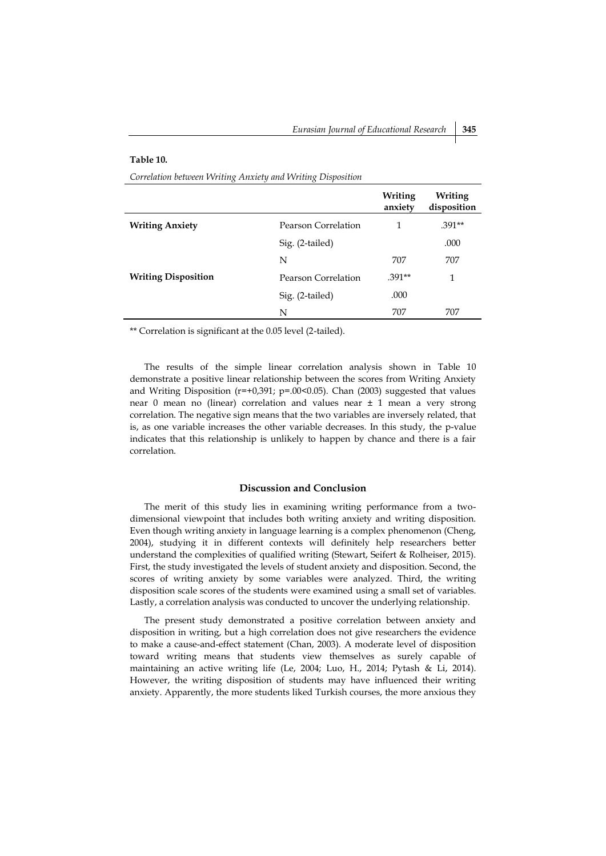#### **Table 10.**

*Correlation between Writing Anxiety and Writing Disposition*

|                            |                     | Writing<br>anxiety | Writing<br>disposition |
|----------------------------|---------------------|--------------------|------------------------|
| <b>Writing Anxiety</b>     | Pearson Correlation | 1                  | $.391**$               |
|                            | Sig. (2-tailed)     |                    | .000                   |
|                            | N                   | 707                | 707                    |
| <b>Writing Disposition</b> | Pearson Correlation | $.391**$           | 1                      |
|                            | Sig. (2-tailed)     | .000               |                        |
|                            | N                   | 707                | 707                    |

\*\* Correlation is significant at the 0.05 level (2-tailed).

The results of the simple linear correlation analysis shown in Table 10 demonstrate a positive linear relationship between the scores from Writing Anxiety and Writing Disposition (r=+0,391; p=.00<0.05). Chan (2003) suggested that values near 0 mean no (linear) correlation and values near ± 1 mean a very strong correlation. The negative sign means that the two variables are inversely related, that is, as one variable increases the other variable decreases. In this study, the p-value indicates that this relationship is unlikely to happen by chance and there is a fair correlation.

## **Discussion and Conclusion**

The merit of this study lies in examining writing performance from a twodimensional viewpoint that includes both writing anxiety and writing disposition. Even though writing anxiety in language learning is a complex phenomenon (Cheng, 2004), studying it in different contexts will definitely help researchers better understand the complexities of qualified writing (Stewart, Seifert & Rolheiser, 2015). First, the study investigated the levels of student anxiety and disposition. Second, the scores of writing anxiety by some variables were analyzed. Third, the writing disposition scale scores of the students were examined using a small set of variables. Lastly, a correlation analysis was conducted to uncover the underlying relationship.

The present study demonstrated a positive correlation between anxiety and disposition in writing, but a high correlation does not give researchers the evidence to make a cause-and-effect statement (Chan, 2003). A moderate level of disposition toward writing means that students view themselves as surely capable of maintaining an active writing life (Le, 2004; Luo, H., 2014; Pytash & Li, 2014). However, the writing disposition of students may have influenced their writing anxiety. Apparently, the more students liked Turkish courses, the more anxious they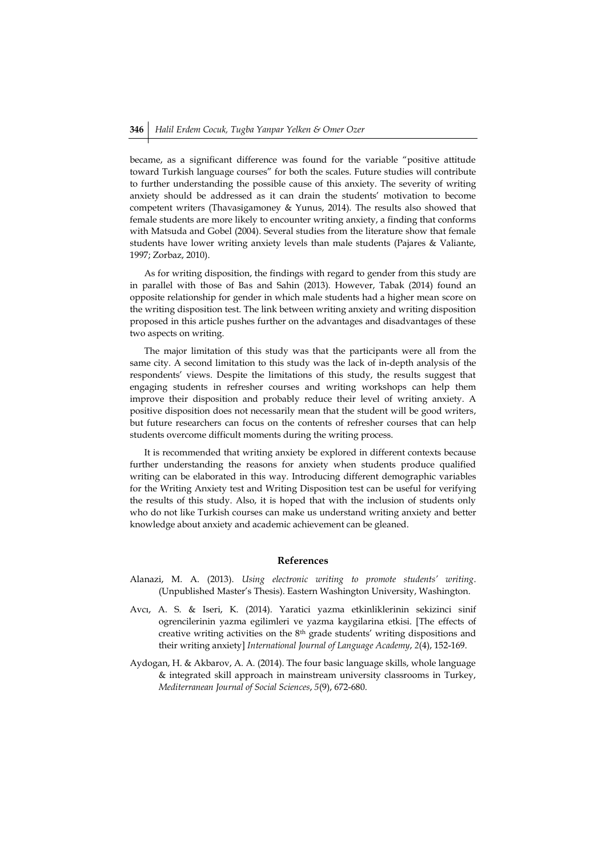became, as a significant difference was found for the variable "positive attitude toward Turkish language courses" for both the scales. Future studies will contribute to further understanding the possible cause of this anxiety. The severity of writing anxiety should be addressed as it can drain the students' motivation to become competent writers (Thavasigamoney & Yunus, 2014). The results also showed that female students are more likely to encounter writing anxiety, a finding that conforms with Matsuda and Gobel (2004). Several studies from the literature show that female students have lower writing anxiety levels than male students (Pajares & Valiante, 1997; Zorbaz, 2010).

As for writing disposition, the findings with regard to gender from this study are in parallel with those of Bas and Sahin (2013). However, Tabak (2014) found an opposite relationship for gender in which male students had a higher mean score on the writing disposition test. The link between writing anxiety and writing disposition proposed in this article pushes further on the advantages and disadvantages of these two aspects on writing.

The major limitation of this study was that the participants were all from the same city. A second limitation to this study was the lack of in-depth analysis of the respondents' views. Despite the limitations of this study, the results suggest that engaging students in refresher courses and writing workshops can help them improve their disposition and probably reduce their level of writing anxiety. A positive disposition does not necessarily mean that the student will be good writers, but future researchers can focus on the contents of refresher courses that can help students overcome difficult moments during the writing process.

It is recommended that writing anxiety be explored in different contexts because further understanding the reasons for anxiety when students produce qualified writing can be elaborated in this way. Introducing different demographic variables for the Writing Anxiety test and Writing Disposition test can be useful for verifying the results of this study. Also, it is hoped that with the inclusion of students only who do not like Turkish courses can make us understand writing anxiety and better knowledge about anxiety and academic achievement can be gleaned.

#### **References**

- Alanazi, M. A. (2013). *Using electronic writing to promote students' writing*. (Unpublished Master's Thesis). Eastern Washington University, Washington.
- Avcı, A. S. & Iseri, K. (2014). Yaratici yazma etkinliklerinin sekizinci sinif ogrencilerinin yazma egilimleri ve yazma kaygilarina etkisi. [The effects of creative writing activities on the 8th grade students' writing dispositions and their writing anxiety] *International Journal of Language Academy*, *2*(4), 152-169.
- Aydogan, H. & Akbarov, A. A. (2014). The four basic language skills, whole language & integrated skill approach in mainstream university classrooms in Turkey, *Mediterranean Journal of Social Sciences*, *5*(9), 672-680.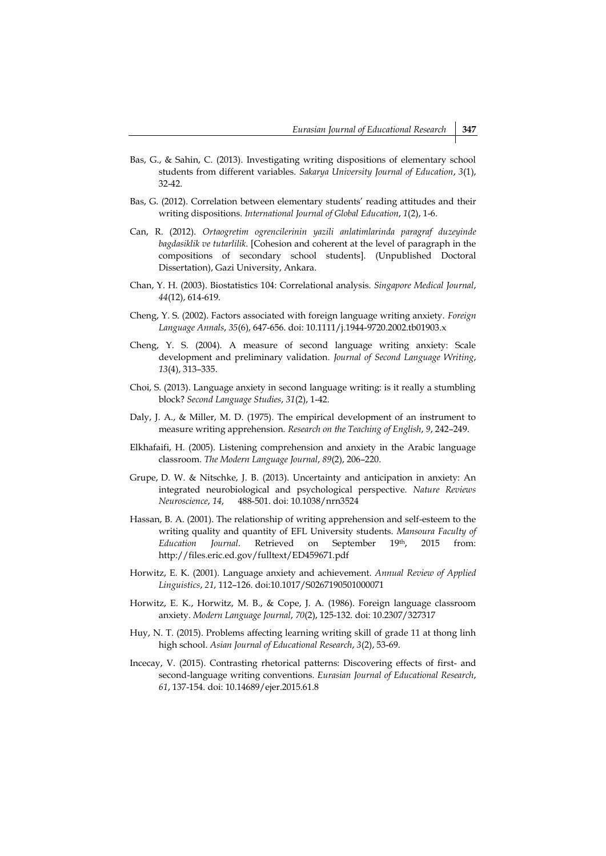- Bas, G., & Sahin, C. (2013). Investigating writing dispositions of elementary school students from different variables. *Sakarya University Journal of Education*, *3*(1), 32-42.
- Bas, G. (2012). Correlation between elementary students' reading attitudes and their writing dispositions. *International Journal of Global Education*, *1*(2), 1-6.
- Can, R. (2012). *Ortaogretim ogrencilerinin yazili anlatimlarinda paragraf duzeyinde bagdasiklik ve tutarlilik*. [Cohesion and coherent at the level of paragraph in the compositions of secondary school students]. (Unpublished Doctoral Dissertation), Gazi University, Ankara.
- Chan, Y. H. (2003). Biostatistics 104: Correlational analysis. *Singapore Medical Journal*, *44*(12), 614-619.
- Cheng, Y. S. (2002). Factors associated with foreign language writing anxiety. *Foreign Language Annals*, *35*(6), 647-656. doi: 10.1111/j.1944-9720.2002.tb01903.x
- Cheng, Y. S. (2004). A measure of second language writing anxiety: Scale development and preliminary validation. *Journal of Second Language Writing*, *13*(4), 313–335.
- Choi, S. (2013). Language anxiety in second language writing: is it really a stumbling block? *Second Language Studies*, *31*(2), 1-42.
- Daly, J. A., & Miller, M. D. (1975). The empirical development of an instrument to measure writing apprehension. *Research on the Teaching of English*, *9*, 242–249.
- Elkhafaifi, H. (2005). Listening comprehension and anxiety in the Arabic language classroom. *The Modern Language Journal*, *89*(2), 206–220.
- Grupe, D. W. & Nitschke, J. B. (2013). Uncertainty and anticipation in anxiety: An integrated neurobiological and psychological perspective. *Nature Reviews Neuroscience*, *14*, 488-501. doi: 10.1038/nrn3524
- Hassan, B. A. (2001). The relationship of writing apprehension and self-esteem to the writing quality and quantity of EFL University students. *Mansoura Faculty of Education Journal*. Retrieved on September 19th, 2015 from: http://files.eric.ed.gov/fulltext/ED459671.pdf
- Horwitz, E. K. (2001). Language anxiety and achievement. *Annual Review of Applied Linguistics*, *21*, 112–126. doi:10.1017/S0267190501000071
- Horwitz, E. K., Horwitz, M. B., & Cope, J. A. (1986). Foreign language classroom anxiety. *Modern Language Journal*, *70*(2), 125-132. doi: 10.2307/327317
- Huy, N. T. (2015). Problems affecting learning writing skill of grade 11 at thong linh high school. *Asian Journal of Educational Research*, *3*(2), 53-69.
- Incecay, V. (2015). Contrasting rhetorical patterns: Discovering effects of first- and second-language writing conventions. *Eurasian Journal of Educational Research*, *61*, 137-154. doi: 10.14689/ejer.2015.61.8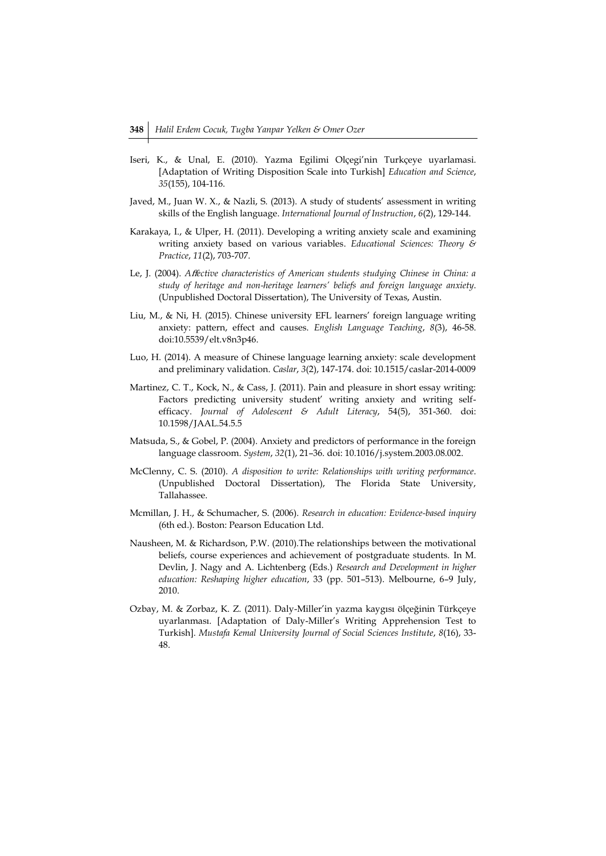- Iseri, K., & Unal, E. (2010). Yazma Egilimi Olçegi'nin Turkçeye uyarlamasi. [Adaptation of Writing Disposition Scale into Turkish] *Education and Science*, *35*(155), 104-116.
- Javed, M., Juan W. X., & Nazli, S. (2013). A study of students' assessment in writing skills of the English language. *International Journal of Instruction*, *6*(2), 129-144.
- Karakaya, I., & Ulper, H. (2011). Developing a writing anxiety scale and examining writing anxiety based on various variables. *Educational Sciences: Theory & Practice*, *11*(2), 703-707.
- Le, J. (2004). *A*ff*ective characteristics of American students studying Chinese in China: a study of heritage and non-heritage learners' beliefs and foreign language anxiety*. (Unpublished Doctoral Dissertation), The University of Texas, Austin.
- Liu, M., & Ni, H. (2015). Chinese university EFL learners' foreign language writing anxiety: pattern, effect and causes. *English Language Teaching*, *8*(3), 46-58. doi:10.5539/elt.v8n3p46.
- Luo, H. (2014). A measure of Chinese language learning anxiety: scale development and preliminary validation. *Caslar*, *3*(2), 147-174. doi: 10.1515/caslar-2014-0009
- Martinez, C. T., Kock, N., & Cass, J. (2011). Pain and pleasure in short essay writing: Factors predicting university student' writing anxiety and writing selfefficacy. *Journal of Adolescent & Adult Literacy*, 54(5), 351-360. doi: 10.1598/JAAL.54.5.5
- Matsuda, S., & Gobel, P. (2004). Anxiety and predictors of performance in the foreign language classroom. *System*, *32*(1), 21–36. doi: 10.1016/j.system.2003.08.002.
- McClenny, C. S. (2010). *A disposition to write: Relationships with writing performance*. (Unpublished Doctoral Dissertation), The Florida State University, Tallahassee.
- Mcmillan, J. H., & Schumacher, S. (2006). *Research in education: Evidence-based inquiry* (6th ed.). Boston: Pearson Education Ltd.
- Nausheen, M. & Richardson, P.W. (2010).The relationships between the motivational beliefs, course experiences and achievement of postgraduate students. In M. Devlin, J. Nagy and A. Lichtenberg (Eds.) *Research and Development in higher education: Reshaping higher education*, 33 (pp. 501–513). Melbourne, 6–9 July, 2010.
- Ozbay, M. & Zorbaz, K. Z. (2011). Daly-Miller'in yazma kaygısı ölçeğinin Türkçeye uyarlanması. [Adaptation of Daly-Miller's Writing Apprehension Test to Turkish]. *Mustafa Kemal University Journal of Social Sciences Institute*, *8*(16), 33- 48.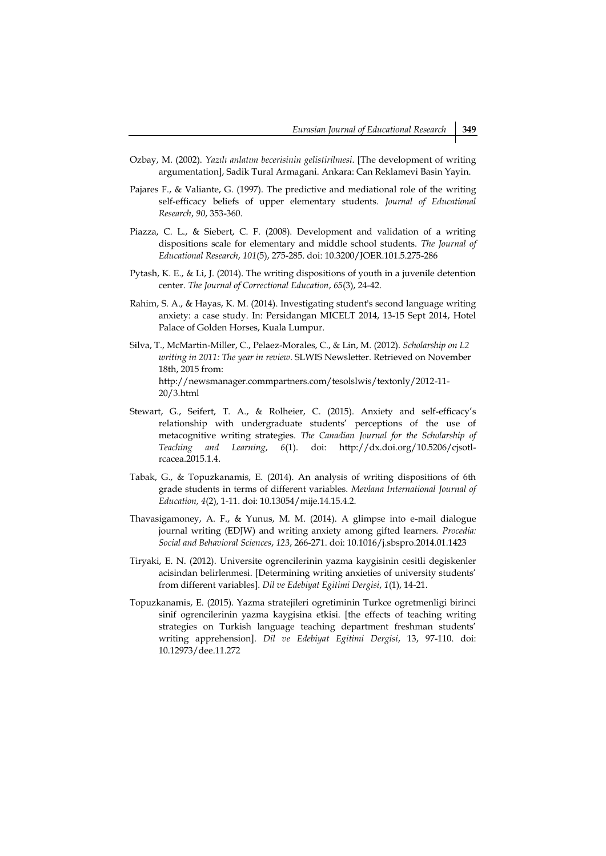- Ozbay, M. (2002). *Yazılı anlatım becerisinin gelistirilmesi*. [The development of writing argumentation], Sadik Tural Armagani. Ankara: Can Reklamevi Basin Yayin.
- Pajares F., & Valiante, G. (1997). The predictive and mediational role of the writing self-efficacy beliefs of upper elementary students. *Journal of Educational Research*, *90*, 353-360.
- Piazza, C. L., & Siebert, C. F. (2008). Development and validation of a writing dispositions scale for elementary and middle school students. *The Journal of Educational Research*, *101*(5), 275-285. doi: 10.3200/JOER.101.5.275-286
- Pytash, K. E., & Li, J. (2014). The writing dispositions of youth in a juvenile detention center. *The Journal of Correctional Education*, *65*(3), 24-42.
- Rahim, S. A., & Hayas, K. M. (2014). Investigating student's second language writing anxiety: a case study. In: Persidangan MICELT 2014, 13-15 Sept 2014, Hotel Palace of Golden Horses, Kuala Lumpur.
- Silva, T., McMartin-Miller, C., Pelaez-Morales, C., & Lin, M. (2012). *Scholarship on L2 writing in 2011: The year in review*. SLWIS Newsletter. Retrieved on November 18th, 2015 from: http://newsmanager.commpartners.com/tesolslwis/textonly/2012-11- 20/3.html
- Stewart, G., Seifert, T. A., & Rolheier, C. (2015). Anxiety and self-efficacy's relationship with undergraduate students' perceptions of the use of metacognitive writing strategies. *The Canadian Journal for the Scholarship of Teaching and Learning*, *6*(1). doi: http://dx.doi.org/10.5206/cjsotlrcacea.2015.1.4.
- Tabak, G., & Topuzkanamis, E. (2014). An analysis of writing dispositions of 6th grade students in terms of different variables. *Mevlana International Journal of Education, 4*(2), 1-11. doi: 10.13054/mije.14.15.4.2.
- Thavasigamoney, A. F., & Yunus, M. M. (2014). A glimpse into e-mail dialogue journal writing (EDJW) and writing anxiety among gifted learners. *Procedia: Social and Behavioral Sciences*, *123*, 266-271. doi: 10.1016/j.sbspro.2014.01.1423
- Tiryaki, E. N. (2012). Universite ogrencilerinin yazma kaygisinin cesitli degiskenler acisindan belirlenmesi. [Determining writing anxieties of university students' from different variables]. *Dil ve Edebiyat Egitimi Dergisi*, *1*(1), 14-21.
- Topuzkanamis, E. (2015). Yazma stratejileri ogretiminin Turkce ogretmenligi birinci sinif ogrencilerinin yazma kaygisina etkisi. [the effects of teaching writing strategies on Turkish language teaching department freshman students' writing apprehension]. *Dil ve Edebiyat Egitimi Dergisi*, 13, 97-110. doi: 10.12973/dee.11.272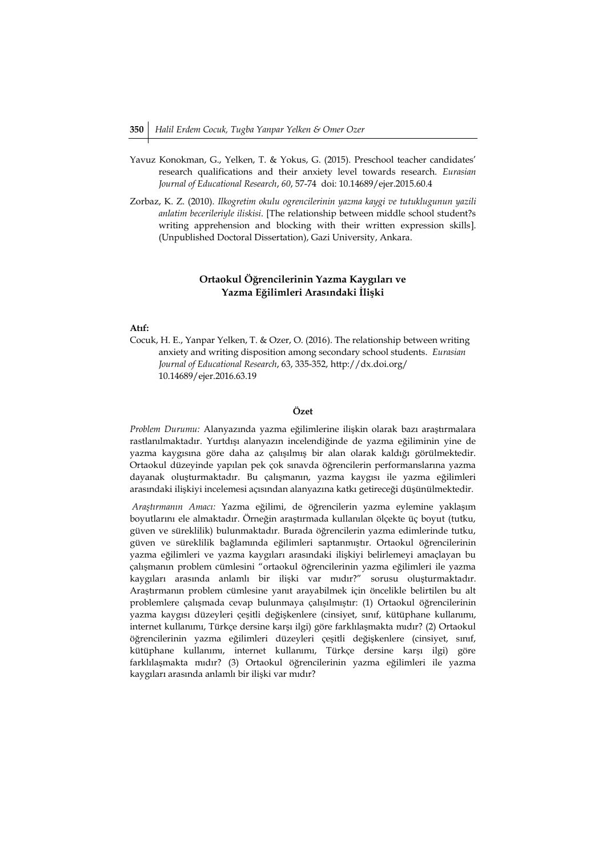- Yavuz Konokman, G., Yelken, T. & Yokus, G. (2015). Preschool teacher candidates' research qualifications and their anxiety level towards research. *Eurasian Journal of Educational Research*, *60*, 57-74 doi: 10.14689/ejer.2015.60.4
- Zorbaz, K. Z. (2010). *Ilkogretim okulu ogrencilerinin yazma kaygi ve tutuklugunun yazili anlatim becerileriyle iliskisi*. [The relationship between middle school student?s writing apprehension and blocking with their written expression skills]. (Unpublished Doctoral Dissertation), Gazi University, Ankara.

# **Ortaokul Öğrencilerinin Yazma Kaygıları ve Yazma Eğilimleri Arasındaki İlişki**

## **Atıf:**

Cocuk, H. E., Yanpar Yelken, T. & Ozer, O. (2016). The relationship between writing anxiety and writing disposition among secondary school students. *Eurasian Journal of Educational Research*, 63, 335-352, http://dx.doi.org/ 10.14689/ejer.2016.63.19

# **Özet**

*Problem Durumu:* Alanyazında yazma eğilimlerine ilişkin olarak bazı araştırmalara rastlanılmaktadır. Yurtdışı alanyazın incelendiğinde de yazma eğiliminin yine de yazma kaygısına göre daha az çalışılmış bir alan olarak kaldığı görülmektedir. Ortaokul düzeyinde yapılan pek çok sınavda öğrencilerin performanslarına yazma dayanak oluşturmaktadır. Bu çalışmanın, yazma kaygısı ile yazma eğilimleri arasındaki ilişkiyi incelemesi açısından alanyazına katkı getireceği düşünülmektedir.

*Araştırmanın Amacı:* Yazma eğilimi, de öğrencilerin yazma eylemine yaklaşım boyutlarını ele almaktadır. Örneğin araştırmada kullanılan ölçekte üç boyut (tutku, güven ve süreklilik) bulunmaktadır. Burada öğrencilerin yazma edimlerinde tutku, güven ve süreklilik bağlamında eğilimleri saptanmıştır. Ortaokul öğrencilerinin yazma eğilimleri ve yazma kaygıları arasındaki ilişkiyi belirlemeyi amaçlayan bu çalışmanın problem cümlesini "ortaokul öğrencilerinin yazma eğilimleri ile yazma kaygıları arasında anlamlı bir ilişki var mıdır?" sorusu oluşturmaktadır. Araştırmanın problem cümlesine yanıt arayabilmek için öncelikle belirtilen bu alt problemlere çalışmada cevap bulunmaya çalışılmıştır: (1) Ortaokul öğrencilerinin yazma kaygısı düzeyleri çeşitli değişkenlere (cinsiyet, sınıf, kütüphane kullanımı, internet kullanımı, Türkçe dersine karşı ilgi) göre farklılaşmakta mıdır? (2) Ortaokul öğrencilerinin yazma eğilimleri düzeyleri çeşitli değişkenlere (cinsiyet, sınıf, kütüphane kullanımı, internet kullanımı, Türkçe dersine karşı ilgi) göre farklılaşmakta mıdır? (3) Ortaokul öğrencilerinin yazma eğilimleri ile yazma kaygıları arasında anlamlı bir ilişki var mıdır?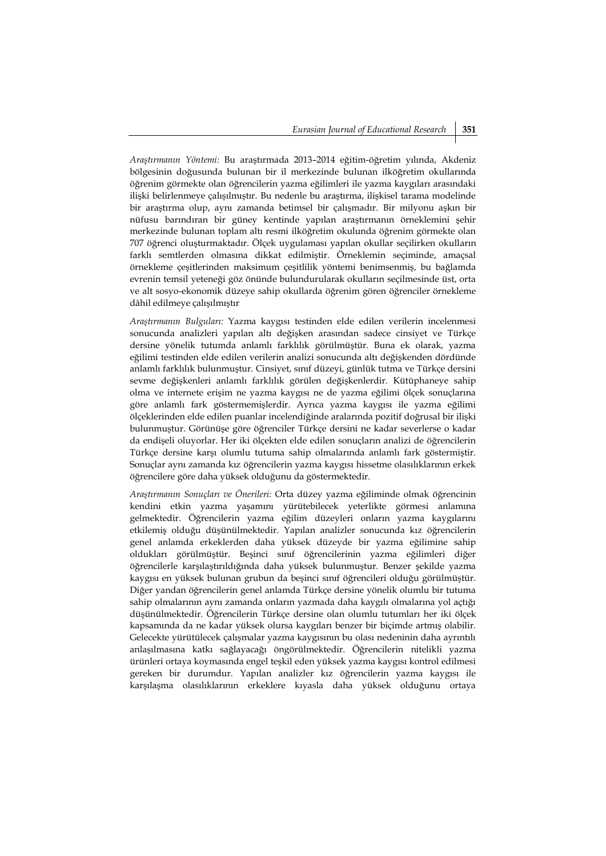*Araştırmanın Yöntemi:* Bu araştırmada 2013–2014 eğitim-öğretim yılında, Akdeniz bölgesinin doğusunda bulunan bir il merkezinde bulunan ilköğretim okullarında öğrenim görmekte olan öğrencilerin yazma eğilimleri ile yazma kaygıları arasındaki ilişki belirlenmeye çalışılmıştır. Bu nedenle bu araştırma, ilişkisel tarama modelinde bir araştırma olup, aynı zamanda betimsel bir çalışmadır. Bir milyonu aşkın bir nüfusu barındıran bir güney kentinde yapılan araştırmanın örneklemini şehir merkezinde bulunan toplam altı resmi ilköğretim okulunda öğrenim görmekte olan 707 öğrenci oluşturmaktadır. Ölçek uygulaması yapılan okullar seçilirken okulların farklı semtlerden olmasına dikkat edilmiştir. Örneklemin seçiminde, amaçsal örnekleme çeşitlerinden maksimum çeşitlilik yöntemi benimsenmiş, bu bağlamda evrenin temsil yeteneği göz önünde bulundurularak okulların seçilmesinde üst, orta ve alt sosyo-ekonomik düzeye sahip okullarda öğrenim gören öğrenciler örnekleme dâhil edilmeye çalışılmıştır

*Araştırmanın Bulguları:* Yazma kaygısı testinden elde edilen verilerin incelenmesi sonucunda analizleri yapılan altı değişken arasından sadece cinsiyet ve Türkçe dersine yönelik tutumda anlamlı farklılık görülmüştür. Buna ek olarak, yazma eğilimi testinden elde edilen verilerin analizi sonucunda altı değişkenden dördünde anlamlı farklılık bulunmuştur. Cinsiyet, sınıf düzeyi, günlük tutma ve Türkçe dersini sevme değişkenleri anlamlı farklılık görülen değişkenlerdir. Kütüphaneye sahip olma ve internete erişim ne yazma kaygısı ne de yazma eğilimi ölçek sonuçlarına göre anlamlı fark göstermemişlerdir. Ayrıca yazma kaygısı ile yazma eğilimi ölçeklerinden elde edilen puanlar incelendiğinde aralarında pozitif doğrusal bir ilişki bulunmuştur. Görünüşe göre öğrenciler Türkçe dersini ne kadar severlerse o kadar da endişeli oluyorlar. Her iki ölçekten elde edilen sonuçların analizi de öğrencilerin Türkçe dersine karşı olumlu tutuma sahip olmalarında anlamlı fark göstermiştir. Sonuçlar aynı zamanda kız öğrencilerin yazma kaygısı hissetme olasılıklarının erkek öğrencilere göre daha yüksek olduğunu da göstermektedir.

*Araştırmanın Sonuçları ve Önerileri:* Orta düzey yazma eğiliminde olmak öğrencinin kendini etkin yazma yaşamını yürütebilecek yeterlikte görmesi anlamına gelmektedir. Öğrencilerin yazma eğilim düzeyleri onların yazma kaygılarını etkilemiş olduğu düşünülmektedir. Yapılan analizler sonucunda kız öğrencilerin genel anlamda erkeklerden daha yüksek düzeyde bir yazma eğilimine sahip oldukları görülmüştür. Beşinci sınıf öğrencilerinin yazma eğilimleri diğer öğrencilerle karşılaştırıldığında daha yüksek bulunmuştur. Benzer şekilde yazma kaygısı en yüksek bulunan grubun da beşinci sınıf öğrencileri olduğu görülmüştür. Diğer yandan öğrencilerin genel anlamda Türkçe dersine yönelik olumlu bir tutuma sahip olmalarının aynı zamanda onların yazmada daha kaygılı olmalarına yol açtığı düşünülmektedir. Öğrencilerin Türkçe dersine olan olumlu tutumları her iki ölçek kapsamında da ne kadar yüksek olursa kaygıları benzer bir biçimde artmış olabilir. Gelecekte yürütülecek çalışmalar yazma kaygısının bu olası nedeninin daha ayrıntılı anlaşılmasına katkı sağlayacağı öngörülmektedir. Öğrencilerin nitelikli yazma ürünleri ortaya koymasında engel teşkil eden yüksek yazma kaygısı kontrol edilmesi gereken bir durumdur. Yapılan analizler kız öğrencilerin yazma kaygısı ile karşılaşma olasılıklarının erkeklere kıyasla daha yüksek olduğunu ortaya